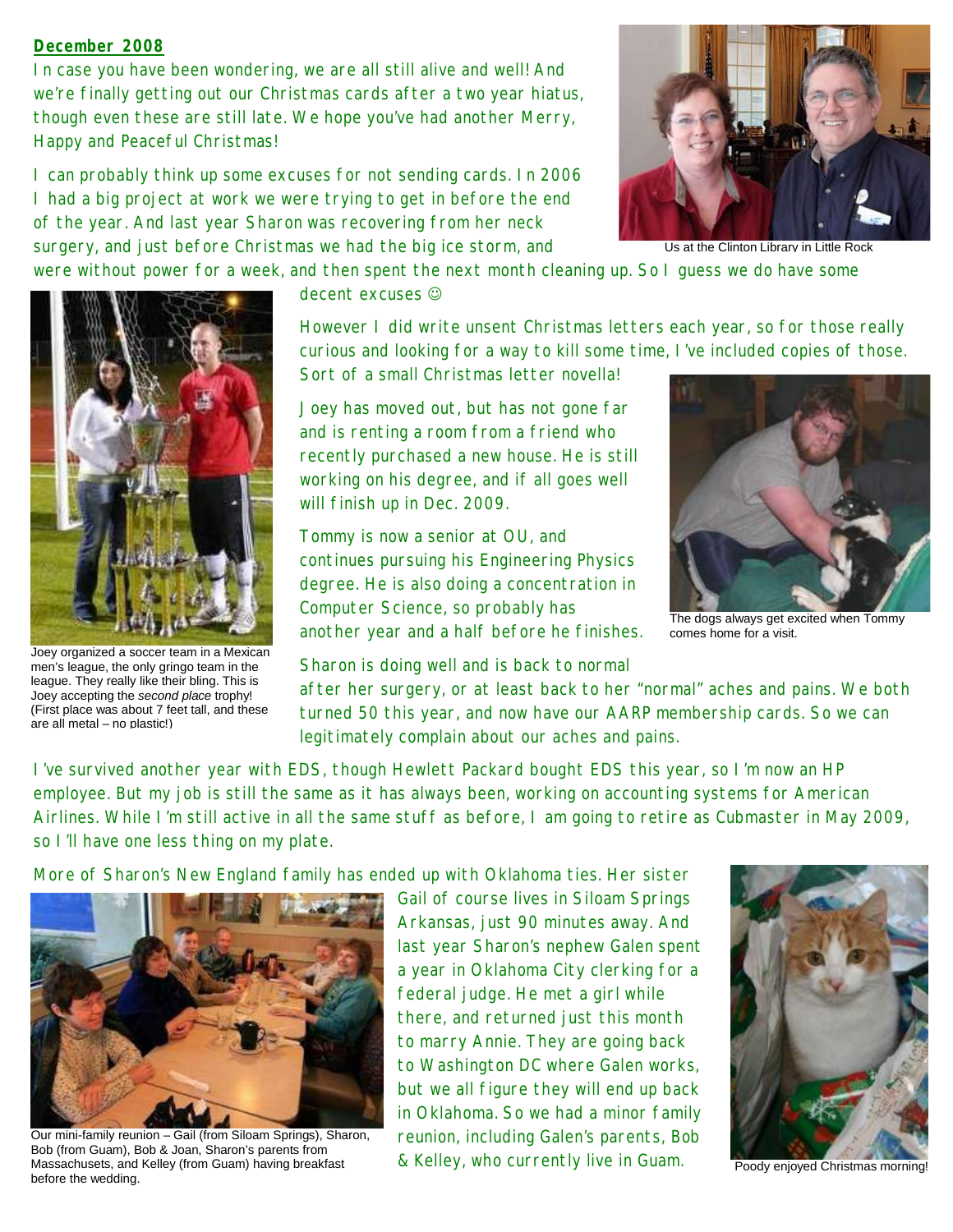## **December 2008**

In case you have been wondering, we are all still alive and well! And we're finally getting out our Christmas cards after a two year hiatus, though even these are still late. We hope you've had another Merry, Happy and Peaceful Christmas!

I can probably think up some excuses for not sending cards. In 2006 I had a big project at work we were trying to get in before the end of the year. And last year Sharon was recovering from her neck surgery, and just before Christmas we had the big ice storm, and



Us at the Clinton Library in Little Rock

were without power for a week, and then spent the next month cleaning up. So I guess we do have some



Joey organized a soccer team in a Mexican men's league, the only gringo team in the league. They really like their bling. This is Joey accepting the *second place* trophy! (First place was about 7 feet tall, and these are all metal – no plastic!)

decent excuses  $\odot$ 

However I did write unsent Christmas letters each year, so for those really curious and looking for a way to kill some time, I've included copies of those. Sort of a small Christmas letter novella!

Joey has moved out, but has not gone far and is renting a room from a friend who recently purchased a new house. He is still working on his degree, and if all goes well will finish up in Dec. 2009.

Tommy is now a senior at OU, and continues pursuing his Engineering Physics degree. He is also doing a concentration in Computer Science, so probably has another year and a half before he finishes.

Sharon is doing well and is back to normal

The dogs always get excited when Tommy comes home for a visit.

after her surgery, or at least back to her "normal" aches and pains. We both turned 50 this year, and now have our AARP membership cards. So we can legitimately complain about our aches and pains.

I've survived another year with EDS, though Hewlett Packard bought EDS this year, so I'm now an HP employee. But my job is still the same as it has always been, working on accounting systems for American Airlines. While I'm still active in all the same stuff as before, I am going to retire as Cubmaster in May 2009, so I'll have one less thing on my plate.

More of Sharon's New England family has ended up with Oklahoma ties. Her sister



Our mini-family reunion – Gail (from Siloam Springs), Sharon, Bob (from Guam), Bob & Joan, Sharon's parents from Massachusets, and Kelley (from Guam) having breakfast before the wedding.

Gail of course lives in Siloam Springs Arkansas, just 90 minutes away. And last year Sharon's nephew Galen spent a year in Oklahoma City clerking for a federal judge. He met a girl while there, and returned just this month to marry Annie. They are going back to Washington DC where Galen works, but we all figure they will end up back in Oklahoma. So we had a minor family reunion, including Galen's parents, Bob & Kelley, who currently live in Guam.



Poody enjoyed Christmas morning!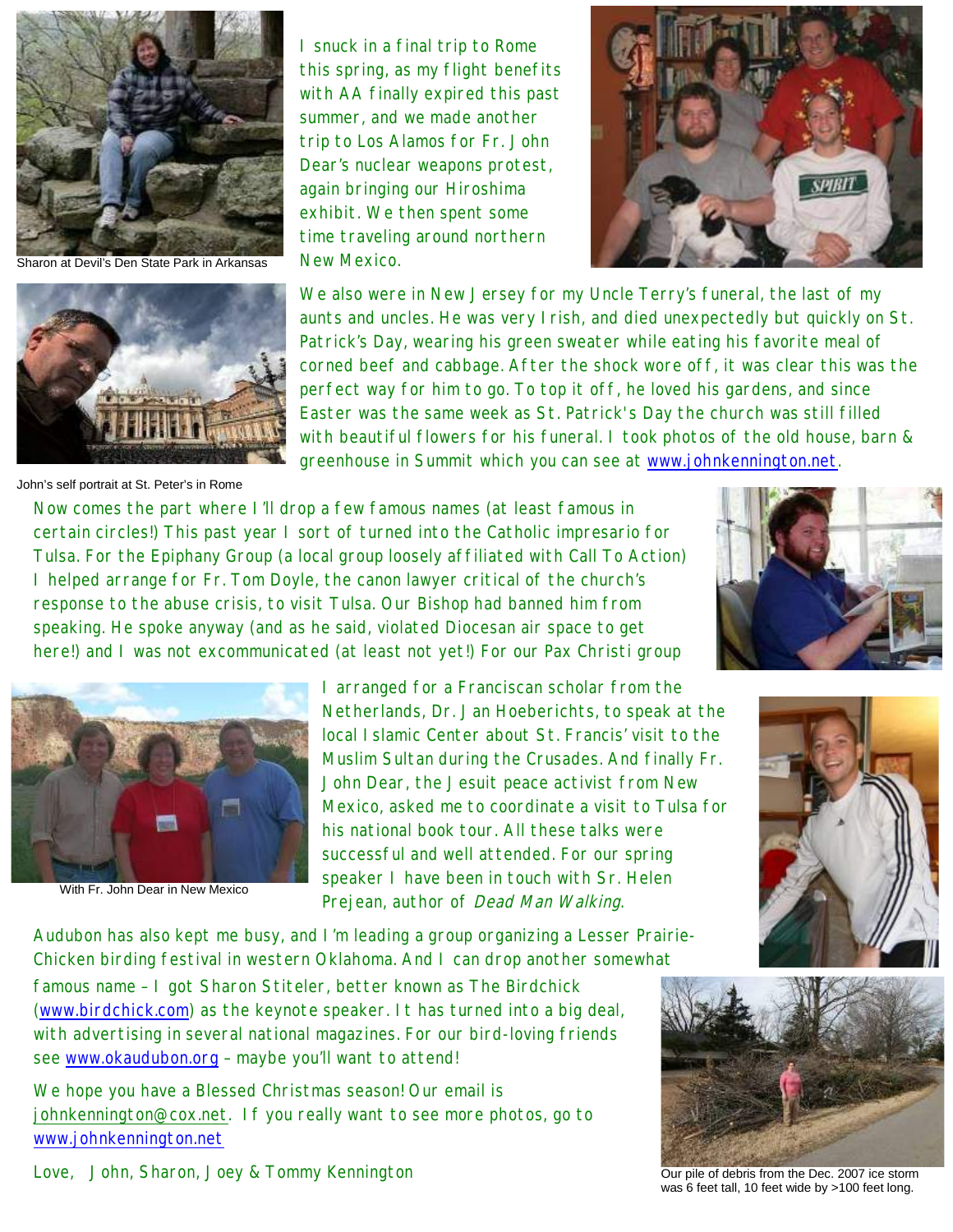

Sharon at Devil's Den State Park in Arkansas



John's self portrait at St. Peter's in Rome

I snuck in a final trip to Rome this spring, as my flight benefits with AA finally expired this past summer, and we made another trip to Los Alamos for Fr. John Dear's nuclear weapons protest, again bringing our Hiroshima exhibit. We then spent some time traveling around northern New Mexico.



We also were in New Jersey for my Uncle Terry's funeral, the last of my aunts and uncles. He was very Irish, and died unexpectedly but quickly on St. Patrick's Day, wearing his green sweater while eating his favorite meal of corned beef and cabbage. After the shock wore off, it was clear this was the perfect way for him to go. To top it off, he loved his gardens, and since Easter was the same week as St. Patrick's Day the church was still filled with beautiful flowers for his funeral. I took photos of the old house, barn & greenhouse in Summit which you can see at www.johnkennington.net.

Now comes the part where I'll drop a few famous names (at least famous in certain circles!) This past year I sort of turned into the Catholic impresario for Tulsa. For the Epiphany Group (a local group loosely affiliated with Call To Action) I helped arrange for Fr. Tom Doyle, the canon lawyer critical of the church's response to the abuse crisis, to visit Tulsa. Our Bishop had banned him from speaking. He spoke anyway (and as he said, violated Diocesan air space to get here!) and I was not excommunicated (at least not yet!) For our Pax Christi group



With Fr. John Dear in New Mexico

I arranged for a Franciscan scholar from the Netherlands, Dr. Jan Hoeberichts, to speak at the local Islamic Center about St. Francis' visit to the Muslim Sultan during the Crusades. And finally Fr. John Dear, the Jesuit peace activist from New Mexico, asked me to coordinate a visit to Tulsa for his national book tour. All these talks were successful and well attended. For our spring speaker I have been in touch with Sr. Helen Prejean, author of Dead Man Walking.

Audubon has also kept me busy, and I'm leading a group organizing a Lesser Prairie-Chicken birding festival in western Oklahoma. And I can drop another somewhat

famous name – I got Sharon Stiteler, better known as The Birdchick (www.birdchick.com) as the keynote speaker. It has turned into a big deal, with advertising in several national magazines. For our bird-loving friends see www.okaudubon.org – maybe you'll want to attend!

We hope you have a Blessed Christmas season! Our email is johnkennington@cox.net. If you really want to see more photos, go to www.johnkennington.net









Our pile of debris from the Dec. 2007 ice storm was 6 feet tall, 10 feet wide by >100 feet long.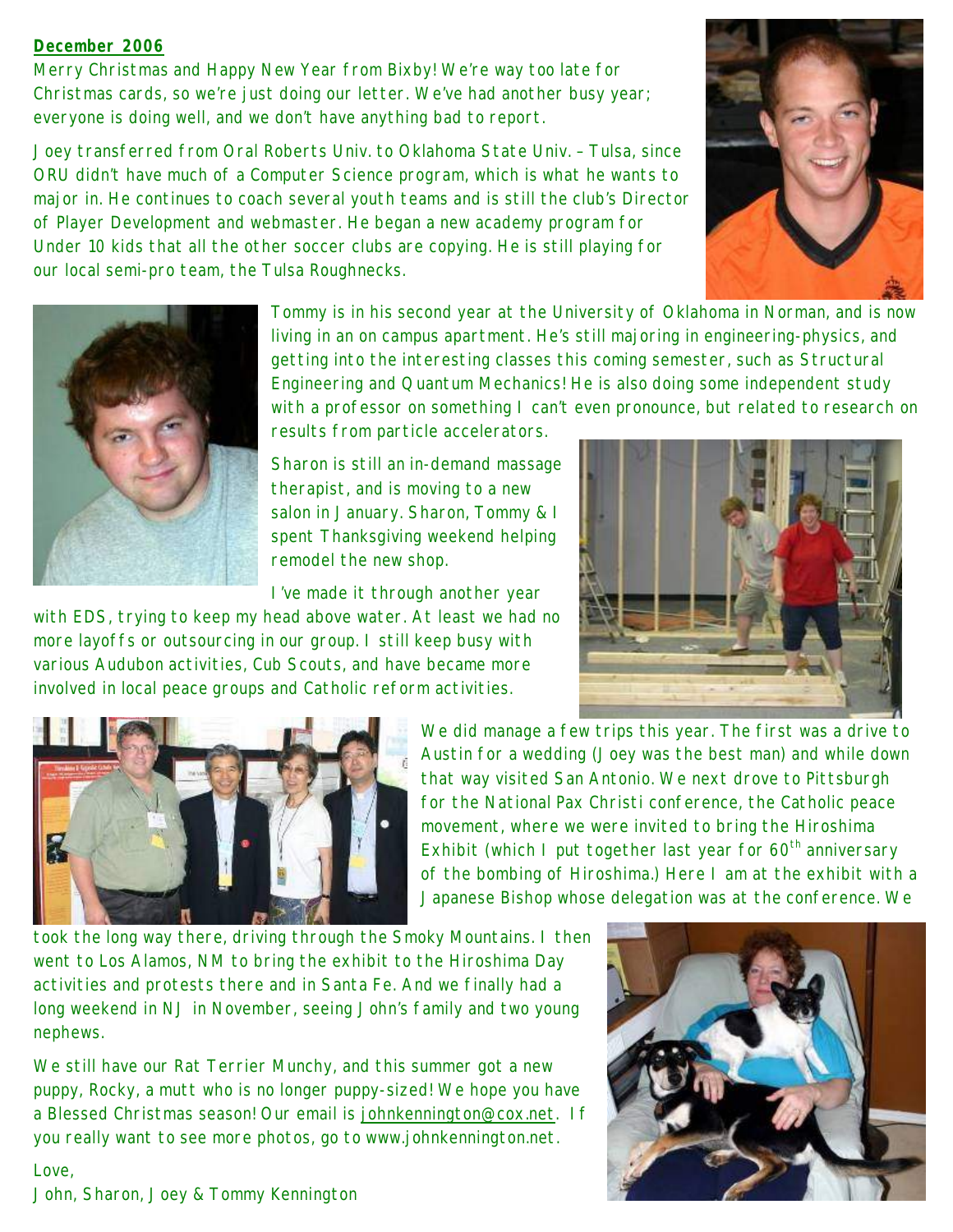## **December 2006**

Merry Christmas and Happy New Year from Bixby! We're way too late for Christmas cards, so we're just doing our letter. We've had another busy year; everyone is doing well, and we don't have anything bad to report.

Joey transferred from Oral Roberts Univ. to Oklahoma State Univ. – Tulsa, since ORU didn't have much of a Computer Science program, which is what he wants to major in. He continues to coach several youth teams and is still the club's Director of Player Development and webmaster. He began a new academy program for Under 10 kids that all the other soccer clubs are copying. He is still playing for our local semi-pro team, the Tulsa Roughnecks.





Tommy is in his second year at the University of Oklahoma in Norman, and is now living in an on campus apartment. He's still majoring in engineering-physics, and getting into the interesting classes this coming semester, such as Structural Engineering and Quantum Mechanics! He is also doing some independent study with a professor on something I can't even pronounce, but related to research on

results from particle accelerators.

Sharon is still an in-demand massage therapist, and is moving to a new salon in January. Sharon, Tommy & I spent Thanksgiving weekend helping remodel the new shop.

I've made it through another year

with EDS, trying to keep my head above water. At least we had no more layoffs or outsourcing in our group. I still keep busy with various Audubon activities, Cub Scouts, and have became more involved in local peace groups and Catholic reform activities.





We did manage a few trips this year. The first was a drive to Austin for a wedding (Joey was the best man) and while down that way visited San Antonio. We next drove to Pittsburgh for the National Pax Christi conference, the Catholic peace movement, where we were invited to bring the Hiroshima Exhibit (which I put together last year for  $60<sup>th</sup>$  anniversary of the bombing of Hiroshima.) Here I am at the exhibit with a Japanese Bishop whose delegation was at the conference. We

took the long way there, driving through the Smoky Mountains. I then went to Los Alamos, NM to bring the exhibit to the Hiroshima Day activities and protests there and in Santa Fe. And we finally had a long weekend in NJ in November, seeing John's family and two young nephews.

We still have our Rat Terrier Munchy, and this summer got a new puppy, Rocky, a mutt who is no longer puppy-sized! We hope you have a Blessed Christmas season! Our email is johnkennington@cox.net. If you really want to see more photos, go to www.johnkennington.net.



Love, John, Sharon, Joey & Tommy Kennington